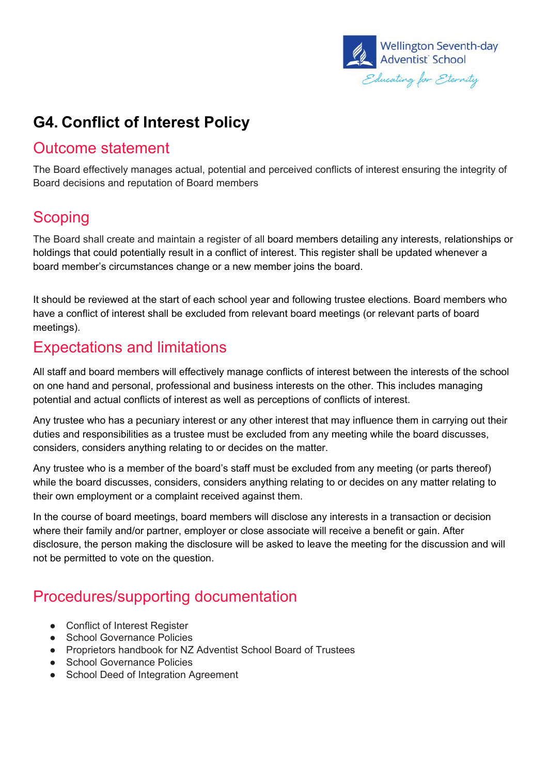

# **G4. Conflict of Interest Policy**

#### Outcome statement

The Board effectively manages actual, potential and perceived conflicts of interest ensuring the integrity of Board decisions and reputation of Board members

#### **Scoping**

The Board shall create and maintain a register of all board members detailing any interests, relationships or holdings that could potentially result in a conflict of interest. This register shall be updated whenever a board member's circumstances change or a new member joins the board.

It should be reviewed at the start of each school year and following trustee elections. Board members who have a conflict of interest shall be excluded from relevant board meetings (or relevant parts of board meetings).

#### Expectations and limitations

All staff and board members will effectively manage conflicts of interest between the interests of the school on one hand and personal, professional and business interests on the other. This includes managing potential and actual conflicts of interest as well as perceptions of conflicts of interest.

Any trustee who has a pecuniary interest or any other interest that may influence them in carrying out their duties and responsibilities as a trustee must be excluded from any meeting while the board discusses, considers, considers anything relating to or decides on the matter.

Any trustee who is a member of the board's staff must be excluded from any meeting (or parts thereof) while the board discusses, considers, considers anything relating to or decides on any matter relating to their own employment or a complaint received against them.

In the course of board meetings, board members will disclose any interests in a transaction or decision where their family and/or partner, employer or close associate will receive a benefit or gain. After disclosure, the person making the disclosure will be asked to leave the meeting for the discussion and will not be permitted to vote on the question.

#### Procedures/supporting documentation

- Conflict of Interest Register
- School Governance Policies
- Proprietors handbook for NZ Adventist School Board of Trustees
- School Governance Policies
- School Deed of Integration Agreement